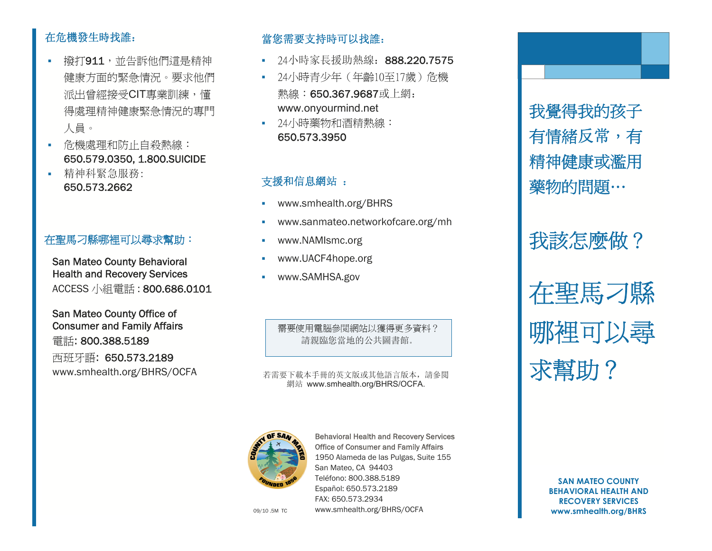### 在危機發生時找誰:

- 撥打911,並告訴他們這是精神 健康方面的緊急情況。要求他們 派出曾經接受CIT專業訓練,懂 得處理精神健康緊急情況的專門 人員。
- 危機處理和防止自殺熱線: 650.579.0350, 1.800.SUICIDE
- 精神科緊急服務: 650.573.2662

#### 在聖馬刁縣哪裡可以尋求幫助:

San Mateo County Behavioral Health and Recovery Services ACCESS 小組電話 : 800.686.0101

San Mateo County Office of Consumer and Family Affairs 電話: 800.388.5189 西班牙語: 650.573.2189 www.smhealth.org/BHRS/OCFA

#### 當您需要支持時可以找誰:

- $\blacksquare$ 24小時家長援助熱線: 888.220.7575
- 24小時青少年(年齡10至17歲)危機 熱線:650.367.9687或上網: www.onyourmind.net
- 24小時藥物和酒精熱線: 650.573.3950

#### 支援和信息網站 :

- **Contract Contract** www.smhealth.org/BHRS
- **Contract Contract** www.sanmateo.networkofcare.org/mh
- Î. www.NAMIsmc.org
- **Contract Contract** www.UACF4hope.org
- **Contract Contract** www.SAMHSA.gov

需要使用電腦參閲網站以獲得更多資料? 請親臨您當地的公共圖書館。

若需要下載本手冊的英文版或其他語言版本,請參閲 網站 www.smhealth.org/BHRS/OCFA.



Behavioral Health and Recovery Services Office of Consumer and Family Affairs 1950 Alameda de las Pulgas, Suite 155 San Mateo, CA 94403 Teléfono: 800.388.5189 Español: 650.573.2189 FAX: 650.573.2934 www.smhealth.org/BHRS/OCFA

我覺得我的孩子 有情緒反常,有 精神健康或濫用 藥物的問題… 我該怎麼做?

在聖馬刁縣 哪裡可以尋 求幫助?

**SAN MATEO COUNTY BEHAVIORAL HEALTH AND RECOVERY SERVICES** 09/10 .5M TC **www.smhealth.org/BHRS/OCFA by the control of the control of the www.smhealth.org/BHRS**